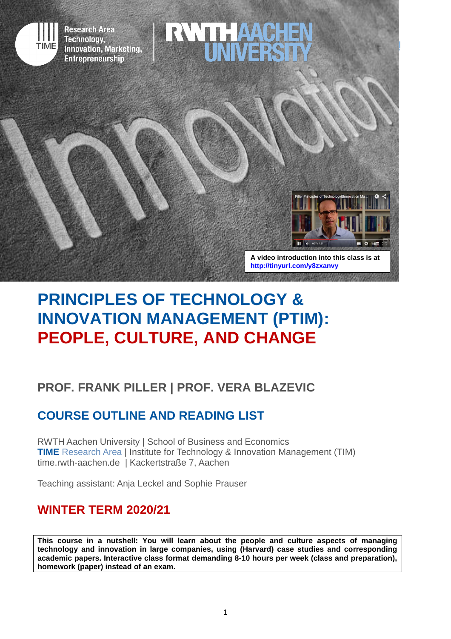

-

**Research Area TIME** Research **Member**  $\sum_{i=1}^{\text{min}}$  values of Technology and Innovation,  $\sum_{i=1}^{\infty}$ 



**A video introduction into this class is at <http://tinyurl.com/y8zxanvy>**

# **PRINCIPLES OF TECHNOLOGY & INNOVATION MANAGEMENT (PTIM): PEOPLE, CULTURE, AND CHANGE**

RYTHAA

## **PROF. FRANK PILLER | PROF. VERA BLAZEVIC**

## **COURSE OUTLINE AND READING LIST**

RWTH Aachen University | School of Business and Economics **TIME** Research Area | Institute for Technology & Innovation Management (TIM) time.rwth-aachen.de | Kackertstraße 7, Aachen

Teaching assistant: Anja Leckel and Sophie Prauser

## **WINTER TERM 2020/21**

**This course in a nutshell: You will learn about the people and culture aspects of managing technology and innovation in large companies, using (Harvard) case studies and corresponding academic papers. Interactive class format demanding 8-10 hours per week (class and preparation), homework (paper) instead of an exam.**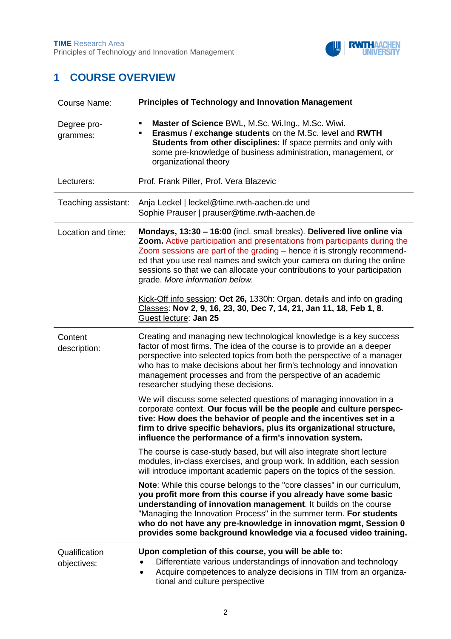

## **1 COURSE OVERVIEW**

| Course Name:                 | <b>Principles of Technology and Innovation Management</b>                                                                                                                                                                                                                                                                                                                                                                   |  |
|------------------------------|-----------------------------------------------------------------------------------------------------------------------------------------------------------------------------------------------------------------------------------------------------------------------------------------------------------------------------------------------------------------------------------------------------------------------------|--|
| Degree pro-<br>grammes:      | Master of Science BWL, M.Sc. Wi.Ing., M.Sc. Wiwi.<br>п<br>Erasmus / exchange students on the M.Sc. level and RWTH<br>٠<br>Students from other disciplines: If space permits and only with<br>some pre-knowledge of business administration, management, or<br>organizational theory                                                                                                                                         |  |
| Lecturers:                   | Prof. Frank Piller, Prof. Vera Blazevic                                                                                                                                                                                                                                                                                                                                                                                     |  |
| Teaching assistant:          | Anja Leckel   leckel@time.rwth-aachen.de und<br>Sophie Prauser   prauser@time.rwth-aachen.de                                                                                                                                                                                                                                                                                                                                |  |
| Location and time:           | Mondays, 13:30 - 16:00 (incl. small breaks). Delivered live online via<br>Zoom. Active participation and presentations from participants during the<br>Zoom sessions are part of the grading - hence it is strongly recommend-<br>ed that you use real names and switch your camera on during the online<br>sessions so that we can allocate your contributions to your participation<br>grade. More information below.     |  |
|                              | Kick-Off info session: Oct 26, 1330h: Organ. details and info on grading<br>Classes: Nov 2, 9, 16, 23, 30, Dec 7, 14, 21, Jan 11, 18, Feb 1, 8.<br>Guest lecture: Jan 25                                                                                                                                                                                                                                                    |  |
| Content<br>description:      | Creating and managing new technological knowledge is a key success<br>factor of most firms. The idea of the course is to provide an a deeper<br>perspective into selected topics from both the perspective of a manager<br>who has to make decisions about her firm's technology and innovation<br>management processes and from the perspective of an academic<br>researcher studying these decisions.                     |  |
|                              | We will discuss some selected questions of managing innovation in a<br>corporate context. Our focus will be the people and culture perspec-<br>tive: How does the behavior of people and the incentives set in a<br>firm to drive specific behaviors, plus its organizational structure,<br>influence the performance of a firm's innovation system.                                                                        |  |
|                              | The course is case-study based, but will also integrate short lecture<br>modules, in-class exercises, and group work. In addition, each session<br>will introduce important academic papers on the topics of the session.                                                                                                                                                                                                   |  |
|                              | Note: While this course belongs to the "core classes" in our curriculum,<br>you profit more from this course if you already have some basic<br>understanding of innovation management. It builds on the course<br>"Managing the Innovation Process" in the summer term. For students<br>who do not have any pre-knowledge in innovation mgmt, Session 0<br>provides some background knowledge via a focused video training. |  |
| Qualification<br>objectives: | Upon completion of this course, you will be able to:<br>Differentiate various understandings of innovation and technology<br>Acquire competences to analyze decisions in TIM from an organiza-<br>$\bullet$<br>tional and culture perspective                                                                                                                                                                               |  |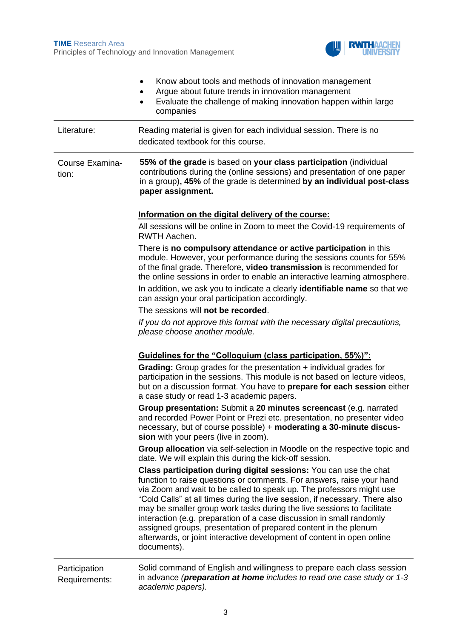

|                                | Know about tools and methods of innovation management<br>$\bullet$<br>Argue about future trends in innovation management<br>Evaluate the challenge of making innovation happen within large<br>$\bullet$<br>companies                                                                                                                                                                                                                                                                                                                                                                                           |  |
|--------------------------------|-----------------------------------------------------------------------------------------------------------------------------------------------------------------------------------------------------------------------------------------------------------------------------------------------------------------------------------------------------------------------------------------------------------------------------------------------------------------------------------------------------------------------------------------------------------------------------------------------------------------|--|
| Literature:                    | Reading material is given for each individual session. There is no<br>dedicated textbook for this course.                                                                                                                                                                                                                                                                                                                                                                                                                                                                                                       |  |
| Course Examina-<br>tion:       | 55% of the grade is based on your class participation (individual<br>contributions during the (online sessions) and presentation of one paper<br>in a group), 45% of the grade is determined by an individual post-class<br>paper assignment.                                                                                                                                                                                                                                                                                                                                                                   |  |
|                                | Information on the digital delivery of the course:                                                                                                                                                                                                                                                                                                                                                                                                                                                                                                                                                              |  |
|                                | All sessions will be online in Zoom to meet the Covid-19 requirements of<br>RWTH Aachen.                                                                                                                                                                                                                                                                                                                                                                                                                                                                                                                        |  |
|                                | There is no compulsory attendance or active participation in this<br>module. However, your performance during the sessions counts for 55%<br>of the final grade. Therefore, video transmission is recommended for<br>the online sessions in order to enable an interactive learning atmosphere.                                                                                                                                                                                                                                                                                                                 |  |
|                                | In addition, we ask you to indicate a clearly <b>identifiable name</b> so that we<br>can assign your oral participation accordingly.                                                                                                                                                                                                                                                                                                                                                                                                                                                                            |  |
|                                | The sessions will not be recorded.                                                                                                                                                                                                                                                                                                                                                                                                                                                                                                                                                                              |  |
|                                | If you do not approve this format with the necessary digital precautions,<br>please choose another module.                                                                                                                                                                                                                                                                                                                                                                                                                                                                                                      |  |
|                                | Guidelines for the "Colloquium (class participation, 55%)":<br>Grading: Group grades for the presentation + individual grades for<br>participation in the sessions. This module is not based on lecture videos,<br>but on a discussion format. You have to prepare for each session either<br>a case study or read 1-3 academic papers.<br>Group presentation: Submit a 20 minutes screencast (e.g. narrated<br>and recorded Power Point or Prezi etc. presentation, no presenter video<br>necessary, but of course possible) + moderating a 30-minute discus-<br>sion with your peers (live in zoom).          |  |
|                                | Group allocation via self-selection in Moodle on the respective topic and<br>date. We will explain this during the kick-off session.                                                                                                                                                                                                                                                                                                                                                                                                                                                                            |  |
|                                | Class participation during digital sessions: You can use the chat<br>function to raise questions or comments. For answers, raise your hand<br>via Zoom and wait to be called to speak up. The professors might use<br>"Cold Calls" at all times during the live session, if necessary. There also<br>may be smaller group work tasks during the live sessions to facilitate<br>interaction (e.g. preparation of a case discussion in small randomly<br>assigned groups, presentation of prepared content in the plenum<br>afterwards, or joint interactive development of content in open online<br>documents). |  |
| Participation<br>Requirements: | Solid command of English and willingness to prepare each class session<br>in advance ( <b>preparation at home</b> includes to read one case study or 1-3<br>academic papers).                                                                                                                                                                                                                                                                                                                                                                                                                                   |  |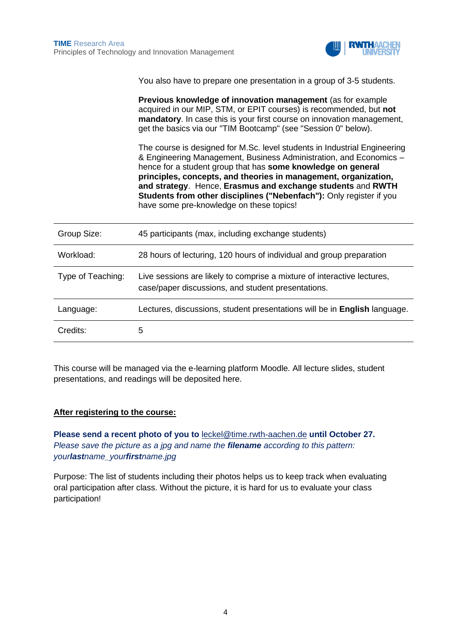

You also have to prepare one presentation in a group of 3-5 students.

**Previous knowledge of innovation management** (as for example acquired in our MIP, STM, or EPIT courses) is recommended, but **not mandatory**. In case this is your first course on innovation management, get the basics via our "TIM Bootcamp" (see "Session 0" below).

The course is designed for M.Sc. level students in Industrial Engineering & Engineering Management, Business Administration, and Economics – hence for a student group that has **some knowledge on general principles, concepts, and theories in management, organization, and strategy**. Hence, **Erasmus and exchange students** and **RWTH Students from other disciplines ("Nebenfach"):** Only register if you have some pre-knowledge on these topics!

| Group Size:       | 45 participants (max, including exchange students)                                                                            |  |
|-------------------|-------------------------------------------------------------------------------------------------------------------------------|--|
| Workload:         | 28 hours of lecturing, 120 hours of individual and group preparation                                                          |  |
| Type of Teaching: | Live sessions are likely to comprise a mixture of interactive lectures,<br>case/paper discussions, and student presentations. |  |
| Language:         | Lectures, discussions, student presentations will be in <b>English</b> language.                                              |  |
| Credits:          | 5                                                                                                                             |  |

This course will be managed via the e-learning platform Moodle. All lecture slides, student presentations, and readings will be deposited here.

#### **After registering to the course:**

**Please send a recent photo of you to** [leckel@time.rwth-aachen.de](mailto:leckel@time.rwth-aachen.de) **until October 27.** *Please save the picture as a jpg and name the filename according to this pattern: yourlastname\_yourfirstname.jpg*

Purpose: The list of students including their photos helps us to keep track when evaluating oral participation after class. Without the picture, it is hard for us to evaluate your class participation!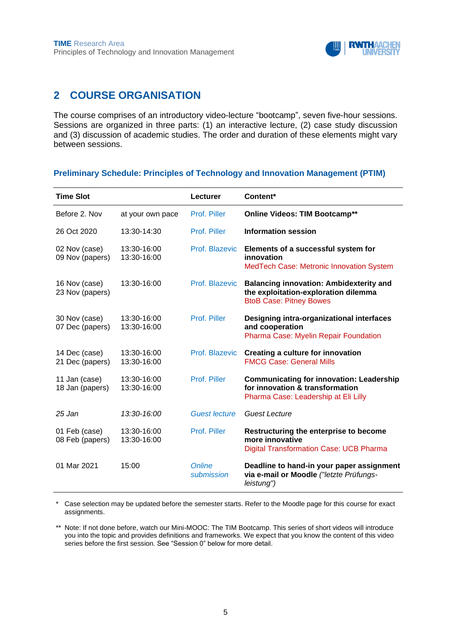

### **2 COURSE ORGANISATION**

The course comprises of an introductory video-lecture "bootcamp", seven five-hour sessions. Sessions are organized in three parts: (1) an interactive lecture, (2) case study discussion and (3) discussion of academic studies. The order and duration of these elements might vary between sessions.

### **Preliminary Schedule: Principles of Technology and Innovation Management (PTIM)**

| <b>Time Slot</b>                 |                            | Lecturer             | Content*                                                                                                                   |
|----------------------------------|----------------------------|----------------------|----------------------------------------------------------------------------------------------------------------------------|
| Before 2. Nov                    | at your own pace           | Prof. Piller         | <b>Online Videos: TIM Bootcamp**</b>                                                                                       |
| 26 Oct 2020                      | 13:30-14:30                | Prof. Piller         | <b>Information session</b>                                                                                                 |
| 02 Nov (case)<br>09 Nov (papers) | 13:30-16:00<br>13:30-16:00 | Prof. Blazevic       | Elements of a successful system for<br>innovation<br><b>MedTech Case: Metronic Innovation System</b>                       |
| 16 Nov (case)<br>23 Nov (papers) | 13:30-16:00                | Prof. Blazevic       | <b>Balancing innovation: Ambidexterity and</b><br>the exploitation-exploration dilemma<br><b>BtoB Case: Pitney Bowes</b>   |
| 30 Nov (case)<br>07 Dec (papers) | 13:30-16:00<br>13:30-16:00 | Prof. Piller         | Designing intra-organizational interfaces<br>and cooperation<br>Pharma Case: Myelin Repair Foundation                      |
| 14 Dec (case)<br>21 Dec (papers) | 13:30-16:00<br>13:30-16:00 | Prof. Blazevic       | Creating a culture for innovation<br><b>FMCG Case: General Mills</b>                                                       |
| 11 Jan (case)<br>18 Jan (papers) | 13:30-16:00<br>13:30-16:00 | Prof. Piller         | <b>Communicating for innovation: Leadership</b><br>for innovation & transformation<br>Pharma Case: Leadership at Eli Lilly |
| 25 Jan                           | 13:30-16:00                | <b>Guest lecture</b> | <b>Guest Lecture</b>                                                                                                       |
| 01 Feb (case)<br>08 Feb (papers) | 13:30-16:00<br>13:30-16:00 | Prof. Piller         | Restructuring the enterprise to become<br>more innovative<br><b>Digital Transformation Case: UCB Pharma</b>                |
| 01 Mar 2021                      | 15:00                      | Online<br>submission | Deadline to hand-in your paper assignment<br>via e-mail or Moodle ("letzte Prüfungs-<br>leistung")                         |

\* Case selection may be updated before the semester starts. Refer to the Moodle page for this course for exact assignments.

\*\* Note: If not done before, watch our Mini-MOOC: The TIM Bootcamp. This series of short videos will introduce you into the topic and provides definitions and frameworks. We expect that you know the content of this video series before the first session. See "Session 0" below for more detail.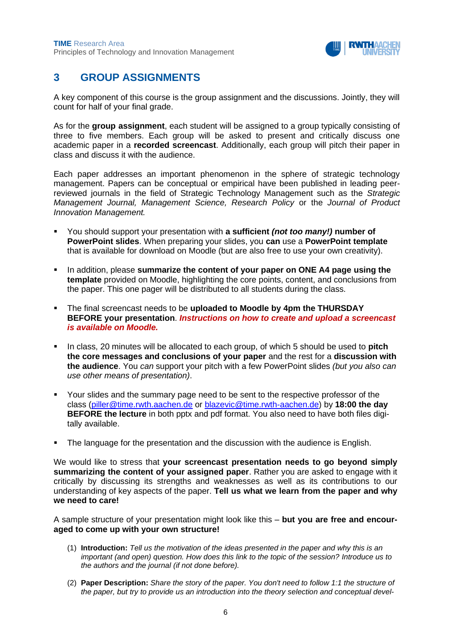

### **3 GROUP ASSIGNMENTS**

A key component of this course is the group assignment and the discussions. Jointly, they will count for half of your final grade.

As for the **group assignment**, each student will be assigned to a group typically consisting of three to five members. Each group will be asked to present and critically discuss one academic paper in a **recorded screencast**. Additionally, each group will pitch their paper in class and discuss it with the audience.

Each paper addresses an important phenomenon in the sphere of strategic technology management. Papers can be conceptual or empirical have been published in leading peerreviewed journals in the field of Strategic Technology Management such as the *Strategic Management Journal, Management Science, Research Policy* or the *Journal of Product Innovation Management.*

- You should support your presentation with **a sufficient** *(not too many!)* **number of PowerPoint slides**. When preparing your slides, you **can** use a **PowerPoint template** that is available for download on Moodle (but are also free to use your own creativity).
- In addition, please summarize the content of your paper on ONE A4 page using the **template** provided on Moodle, highlighting the core points, content, and conclusions from the paper. This one pager will be distributed to all students during the class.
- The final screencast needs to be **uploaded to Moodle by 4pm the THURSDAY BEFORE your presentation**. *Instructions on how to create and upload a screencast is available on Moodle.*
- In class, 20 minutes will be allocated to each group, of which 5 should be used to **pitch the core messages and conclusions of your paper** and the rest for a **discussion with the audience**. You *can* support your pitch with a few PowerPoint slides *(but you also can use other means of presentation)*.
- Your slides and the summary page need to be sent to the respective professor of the class [\(piller@time.rwth.aachen.de](mailto:piller@time.rwth.aachen.de) or [blazevic@time.rwth-aachen.de\)](mailto:blazevic@time.rwth-aachen.de) by **18:00 the day BEFORE the lecture** in both pptx and pdf format. You also need to have both files digitally available.
- The language for the presentation and the discussion with the audience is English.

We would like to stress that **your screencast presentation needs to go beyond simply summarizing the content of your assigned paper**. Rather you are asked to engage with it critically by discussing its strengths and weaknesses as well as its contributions to our understanding of key aspects of the paper. **Tell us what we learn from the paper and why we need to care!**

A sample structure of your presentation might look like this – **but you are free and encouraged to come up with your own structure!**

- (1) **Introduction:** *Tell us the motivation of the ideas presented in the paper and why this is an important (and open) question. How does this link to the topic of the session? Introduce us to the authors and the journal (if not done before).*
- (2) **Paper Description:** *Share the story of the paper. You don't need to follow 1:1 the structure of the paper, but try to provide us an introduction into the theory selection and conceptual devel-*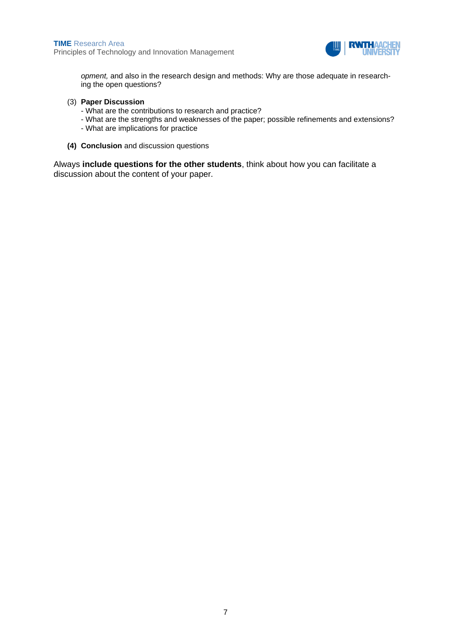

*opment,* and also in the research design and methods: Why are those adequate in researching the open questions?

- (3) **Paper Discussion**
	- What are the contributions to research and practice?
	- What are the strengths and weaknesses of the paper; possible refinements and extensions?
	- What are implications for practice
- **(4) Conclusion** and discussion questions

Always **include questions for the other students**, think about how you can facilitate a discussion about the content of your paper.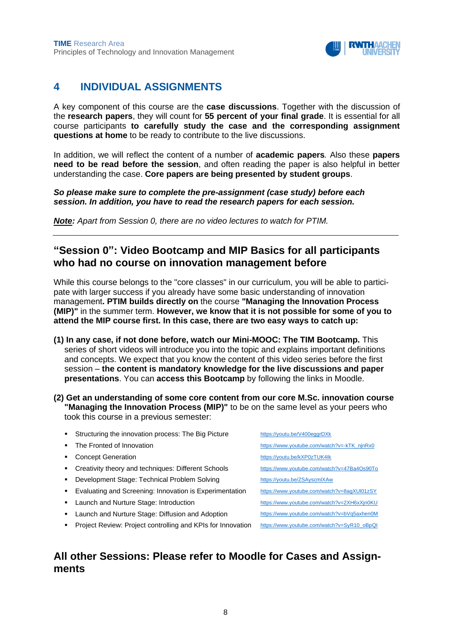

### **4 INDIVIDUAL ASSIGNMENTS**

A key component of this course are the **case discussions**. Together with the discussion of the **research papers**, they will count for **55 percent of your final grade**. It is essential for all course participants **to carefully study the case and the corresponding assignment questions at home** to be ready to contribute to the live discussions.

In addition, we will reflect the content of a number of **academic papers***.* Also these **papers need to be read before the session**, and often reading the paper is also helpful in better understanding the case. **Core papers are being presented by student groups**.

*So please make sure to complete the pre-assignment (case study) before each session. In addition, you have to read the research papers for each session.* 

*Note: Apart from Session 0, there are no video lectures to watch for PTIM.*

### **"Session 0": Video Bootcamp and MIP Basics for all participants who had no course on innovation management before**

While this course belongs to the "core classes" in our curriculum, you will be able to participate with larger success if you already have some basic understanding of innovation management**. PTIM builds directly on** the course **"Managing the Innovation Process (MIP)"** in the summer term. **However, we know that it is not possible for some of you to attend the MIP course first. In this case, there are two easy ways to catch up:**

- **(1) In any case, if not done before, watch our Mini-MOOC: The TIM Bootcamp.** This series of short videos will introduce you into the topic and explains important definitions and concepts. We expect that you know the content of this video series before the first session – **the content is mandatory knowledge for the live discussions and paper presentations**. You can **access this Bootcamp** by following the links in Moodle.
- **(2) Get an understanding of some core content from our core M.Sc. innovation course "Managing the Innovation Process (MIP)"** to be on the same level as your peers who took this course in a previous semester:

| <b>College</b> | Structuring the innovation process: The Big Picture         | https://youtu.be/V400eggrDXk                |
|----------------|-------------------------------------------------------------|---------------------------------------------|
| ۰.             | The Fronted of Innovation                                   | https://www.youtube.com/watch?v=-kTK njnRx0 |
| ۰.             | <b>Concept Generation</b>                                   | https://youtu.be/kXP0zTUK4lk                |
| $\blacksquare$ | Creativity theory and techniques: Different Schools         | https://www.youtube.com/watch?v=47Ba4Os90To |
| ٠.             | Development Stage: Technical Problem Solving                | https://youtu.be/ZSAyscmIXAw                |
| $\blacksquare$ | Evaluating and Screening: Innovation is Experimentation     | https://www.youtube.com/watch?v=8aqXUI01zSY |
|                | • Launch and Nurture Stage: Introduction                    | https://www.youtube.com/watch?v=2XH6xXjn0KU |
| ٠              | Launch and Nurture Stage: Diffusion and Adoption            | https://www.youtube.com/watch?v=bVq5axhen0M |
| ٠              | Project Review: Project controlling and KPIs for Innovation | https://www.youtube.com/watch?v=SyR10_oBpQI |
|                |                                                             |                                             |

### **All other Sessions: Please refer to Moodle for Cases and Assignments**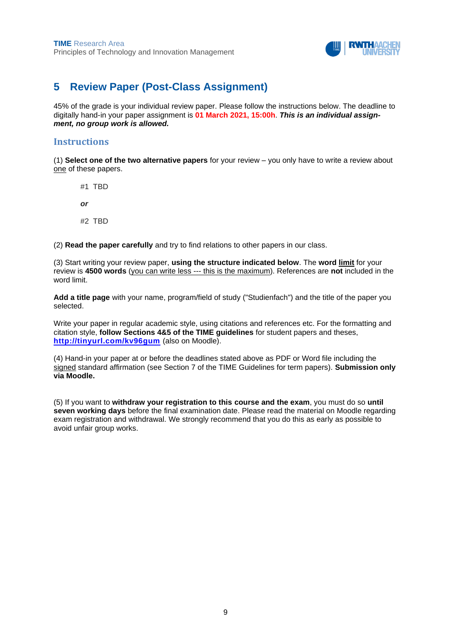

### **5 Review Paper (Post-Class Assignment)**

45% of the grade is your individual review paper. Please follow the instructions below. The deadline to digitally hand-in your paper assignment is **01 March 2021, 15:00h**. *This is an individual assignment, no group work is allowed.*

### **Instructions**

(1) **Select one of the two alternative papers** for your review – you only have to write a review about one of these papers.

#1 TBD

*or*

#2 TBD

(2) **Read the paper carefully** and try to find relations to other papers in our class.

(3) Start writing your review paper, **using the structure indicated below**. The **word limit** for your review is **4500 words** (you can write less --- this is the maximum). References are **not** included in the word limit.

**Add a title page** with your name, program/field of study ("Studienfach") and the title of the paper you selected.

Write your paper in regular academic style, using citations and references etc. For the formatting and citation style, **follow Sections 4&5 of the TIME guidelines** for student papers and theses, **<http://tinyurl.com/kv96gum>** (also on Moodle).

(4) Hand-in your paper at or before the deadlines stated above as PDF or Word file including the signed standard affirmation (see Section 7 of the TIME Guidelines for term papers). **Submission only via Moodle.**

(5) If you want to **withdraw your registration to this course and the exam**, you must do so **until seven working days** before the final examination date. Please read the material on Moodle regarding exam registration and withdrawal. We strongly recommend that you do this as early as possible to avoid unfair group works.